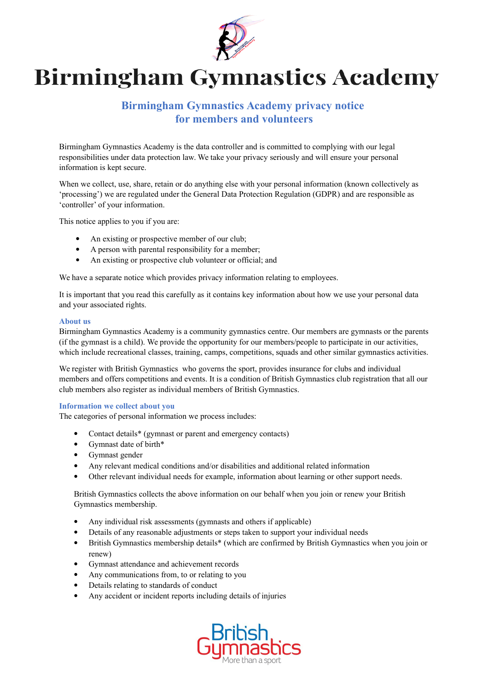

# **Birmingham Gymnastics Academy**

# **Birmingham Gymnastics Academy privacy notice for members and volunteers**

Birmingham Gymnastics Academy is the data controller and is committed to complying with our legal responsibilities under data protection law. We take your privacy seriously and will ensure your personal information is kept secure.

When we collect, use, share, retain or do anything else with your personal information (known collectively as 'processing') we are regulated under the General Data Protection Regulation (GDPR) and are responsible as 'controller' of your information.

This notice applies to you if you are:

- An existing or prospective member of our club;
- A person with parental responsibility for a member;
- An existing or prospective club volunteer or official; and

We have a separate notice which provides privacy information relating to employees.

It is important that you read this carefully as it contains key information about how we use your personal data and your associated rights.

#### **About us**

Birmingham Gymnastics Academy is a community gymnastics centre. Our members are gymnasts or the parents (if the gymnast is a child). We provide the opportunity for our members/people to participate in our activities, which include recreational classes, training, camps, competitions, squads and other similar gymnastics activities.

We register with British Gymnastics who governs the sport, provides insurance for clubs and individual members and offers competitions and events. It is a condition of British Gymnastics club registration that all our club members also register as individual members of British Gymnastics.

#### **Information we collect about you**

The categories of personal information we process includes:

- Contact details\* (gymnast or parent and emergency contacts)
- Gymnast date of birth\*
- Gymnast gender
- Any relevant medical conditions and/or disabilities and additional related information
- Other relevant individual needs for example, information about learning or other support needs.

British Gymnastics collects the above information on our behalf when you join or renew your British Gymnastics membership.

- Any individual risk assessments (gymnasts and others if applicable)
- Details of any reasonable adjustments or steps taken to support your individual needs
- British Gymnastics membership details\* (which are confirmed by British Gymnastics when you join or renew)
- Gymnast attendance and achievement records
- Any communications from, to or relating to you
- Details relating to standards of conduct
- Any accident or incident reports including details of injuries

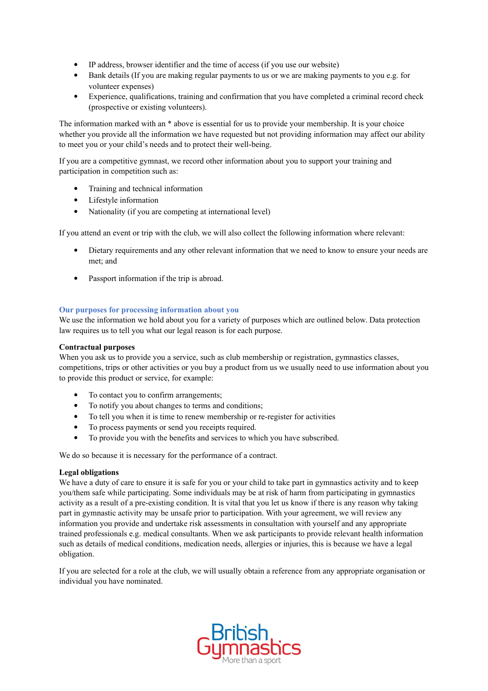- IP address, browser identifier and the time of access (if you use our website)
- Bank details (If you are making regular payments to us or we are making payments to you e.g. for volunteer expenses)
- Experience, qualifications, training and confirmation that you have completed a criminal record check (prospective or existing volunteers).

The information marked with an \* above is essential for us to provide your membership. It is your choice whether you provide all the information we have requested but not providing information may affect our ability to meet you or your child's needs and to protect their well-being.

If you are a competitive gymnast, we record other information about you to support your training and participation in competition such as:

- Training and technical information
- Lifestyle information
- Nationality (if you are competing at international level)

If you attend an event or trip with the club, we will also collect the following information where relevant:

- Dietary requirements and any other relevant information that we need to know to ensure your needs are met; and
- Passport information if the trip is abroad.

#### **Our purposes for processing information about you**

We use the information we hold about you for a variety of purposes which are outlined below. Data protection law requires us to tell you what our legal reason is for each purpose.

#### **Contractual purposes**

When you ask us to provide you a service, such as club membership or registration, gymnastics classes, competitions, trips or other activities or you buy a product from us we usually need to use information about you to provide this product or service, for example:

- To contact you to confirm arrangements;
- To notify you about changes to terms and conditions;
- To tell you when it is time to renew membership or re-register for activities
- To process payments or send you receipts required.
- To provide you with the benefits and services to which you have subscribed.

We do so because it is necessary for the performance of a contract.

#### **Legal obligations**

We have a duty of care to ensure it is safe for you or your child to take part in gymnastics activity and to keep you/them safe while participating. Some individuals may be at risk of harm from participating in gymnastics activity as a result of a pre-existing condition. It is vital that you let us know if there is any reason why taking part in gymnastic activity may be unsafe prior to participation. With your agreement, we will review any information you provide and undertake risk assessments in consultation with yourself and any appropriate trained professionals e.g. medical consultants. When we ask participants to provide relevant health information such as details of medical conditions, medication needs, allergies or injuries, this is because we have a legal obligation.

If you are selected for a role at the club, we will usually obtain a reference from any appropriate organisation or individual you have nominated.

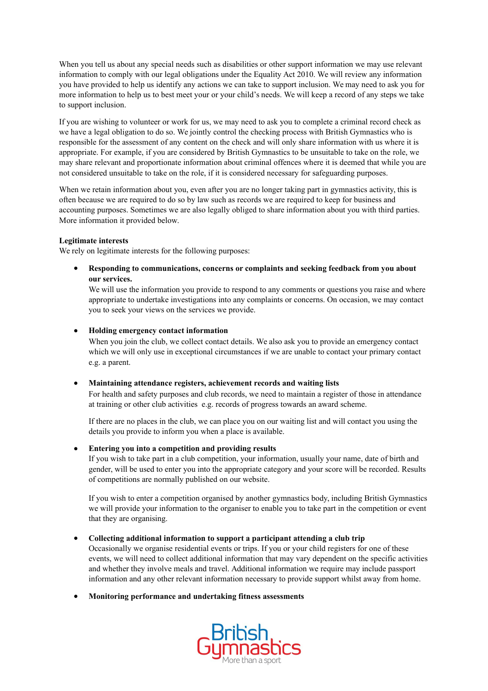When you tell us about any special needs such as disabilities or other support information we may use relevant information to comply with our legal obligations under the Equality Act 2010. We will review any information you have provided to help us identify any actions we can take to support inclusion. We may need to ask you for more information to help us to best meet your or your child's needs. We will keep a record of any steps we take to support inclusion.

If you are wishing to volunteer or work for us, we may need to ask you to complete a criminal record check as we have a legal obligation to do so. We jointly control the checking process with British Gymnastics who is responsible for the assessment of any content on the check and will only share information with us where it is appropriate. For example, if you are considered by British Gymnastics to be unsuitable to take on the role, we may share relevant and proportionate information about criminal offences where it is deemed that while you are not considered unsuitable to take on the role, if it is considered necessary for safeguarding purposes.

When we retain information about you, even after you are no longer taking part in gymnastics activity, this is often because we are required to do so by law such as records we are required to keep for business and accounting purposes. Sometimes we are also legally obliged to share information about you with third parties. More information it provided below.

#### **Legitimate interests**

We rely on legitimate interests for the following purposes:

 **Responding to communications, concerns or complaints and seeking feedback from you about our services.**

We will use the information you provide to respond to any comments or questions you raise and where appropriate to undertake investigations into any complaints or concerns. On occasion, we may contact you to seek your views on the services we provide.

#### **Holding emergency contact information**

When you join the club, we collect contact details. We also ask you to provide an emergency contact which we will only use in exceptional circumstances if we are unable to contact your primary contact e.g. a parent.

#### **Maintaining attendance registers, achievement records and waiting lists**

For health and safety purposes and club records, we need to maintain a register of those in attendance at training or other club activities e.g. records of progress towards an award scheme.

If there are no places in the club, we can place you on our waiting list and will contact you using the details you provide to inform you when a place is available.

#### **Entering you into a competition and providing results**

If you wish to take part in a club competition, your information, usually your name, date of birth and gender, will be used to enter you into the appropriate category and your score will be recorded. Results of competitions are normally published on our website.

If you wish to enter a competition organised by another gymnastics body, including British Gymnastics we will provide your information to the organiser to enable you to take part in the competition or event that they are organising.

# **Collecting additional information to support a participant attending a club trip**

Occasionally we organise residential events or trips. If you or your child registers for one of these events, we will need to collect additional information that may vary dependent on the specific activities and whether they involve meals and travel. Additional information we require may include passport information and any other relevant information necessary to provide support whilst away from home.

**Monitoring performance and undertaking fitness assessments**

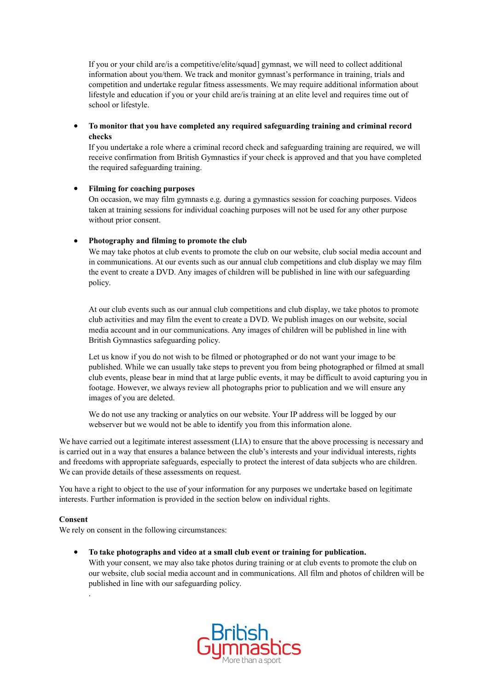If you or your child are/is a competitive/elite/squad] gymnast, we will need to collect additional information about you/them. We track and monitor gymnast's performance in training, trials and competition and undertake regular fitness assessments. We may require additional information about lifestyle and education if you or your child are/is training at an elite level and requires time out of school or lifestyle.

 **To monitor that you have completed any required safeguarding training and criminal record checks**

If you undertake a role where a criminal record check and safeguarding training are required, we will receive confirmation from British Gymnastics if your check is approved and that you have completed the required safeguarding training.

#### **Filming for coaching purposes**

On occasion, we may film gymnasts e.g. during a gymnastics session for coaching purposes. Videos taken at training sessions for individual coaching purposes will not be used for any other purpose without prior consent.

#### **Photography and filming to promote the club**

We may take photos at club events to promote the club on our website, club social media account and in communications. At our events such as our annual club competitions and club display we may film the event to create a DVD. Any images of children will be published in line with our safeguarding policy.

At our club events such as our annual club competitions and club display, we take photos to promote club activities and may film the event to create a DVD. We publish images on our website, social media account and in our communications. Any images of children will be published in line with British Gymnastics safeguarding policy.

Let us know if you do not wish to be filmed or photographed or do not want your image to be published. While we can usually take steps to prevent you from being photographed or filmed at small club events, please bear in mind that at large public events, it may be difficult to avoid capturing you in footage. However, we always review all photographs prior to publication and we will ensure any images of you are deleted.

We do not use any tracking or analytics on our website. Your IP address will be logged by our webserver but we would not be able to identify you from this information alone.

We have carried out a legitimate interest assessment (LIA) to ensure that the above processing is necessary and is carried out in a way that ensures a balance between the club's interests and your individual interests, rights and freedoms with appropriate safeguards, especially to protect the interest of data subjects who are children. We can provide details of these assessments on request.

You have a right to object to the use of your information for any purposes we undertake based on legitimate interests. Further information is provided in the section below on individual rights.

#### **Consent**

.

We rely on consent in the following circumstances:

**To take photographs and video at a small club event or training for publication.**

With your consent, we may also take photos during training or at club events to promote the club on our website, club social media account and in communications. All film and photos of children will be published in line with our safeguarding policy.

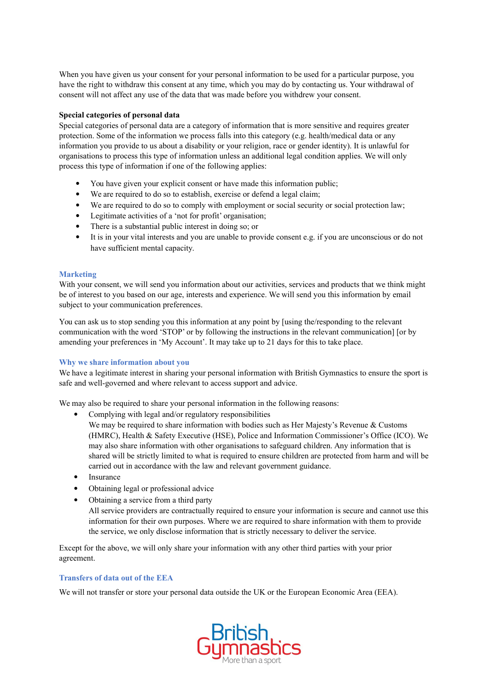When you have given us your consent for your personal information to be used for a particular purpose, you have the right to withdraw this consent at any time, which you may do by contacting us. Your withdrawal of consent will not affect any use of the data that was made before you withdrew your consent.

#### **Special categories of personal data**

Special categories of personal data are a category of information that is more sensitive and requires greater protection. Some of the information we process falls into this category (e.g. health/medical data or any information you provide to us about a disability or your religion, race or gender identity). It is unlawful for organisations to process this type of information unless an additional legal condition applies. We will only process this type of information if one of the following applies:

- You have given your explicit consent or have made this information public;
- We are required to do so to establish, exercise or defend a legal claim;
- We are required to do so to comply with employment or social security or social protection law;
- Legitimate activities of a 'not for profit' organisation;
- There is a substantial public interest in doing so; or
- It is in your vital interests and you are unable to provide consent e.g. if you are unconscious or do not have sufficient mental capacity.

#### **Marketing**

With your consent, we will send you information about our activities, services and products that we think might be of interest to you based on our age, interests and experience. We will send you this information by email subject to your communication preferences.

You can ask us to stop sending you this information at any point by [using the/responding to the relevant communication with the word 'STOP' or by following the instructions in the relevant communication] [or by amending your preferences in 'My Account'. It may take up to 21 days for this to take place.

#### **Why we share information about you**

We have a legitimate interest in sharing your personal information with British Gymnastics to ensure the sport is safe and well-governed and where relevant to access support and advice.

We may also be required to share your personal information in the following reasons:

Complying with legal and/or regulatory responsibilities

We may be required to share information with bodies such as Her Majesty's Revenue & Customs (HMRC), Health & Safety Executive (HSE), Police and Information Commissioner's Office (ICO). We may also share information with other organisations to safeguard children. Any information that is shared will be strictly limited to what is required to ensure children are protected from harm and will be carried out in accordance with the law and relevant government guidance.

- Insurance
- Obtaining legal or professional advice
- Obtaining a service from a third party

All service providers are contractually required to ensure your information is secure and cannot use this information for their own purposes. Where we are required to share information with them to provide the service, we only disclose information that is strictly necessary to deliver the service.

Except for the above, we will only share your information with any other third parties with your prior agreement.

#### **Transfers of data out of the EEA**

We will not transfer or store your personal data outside the UK or the European Economic Area (EEA).

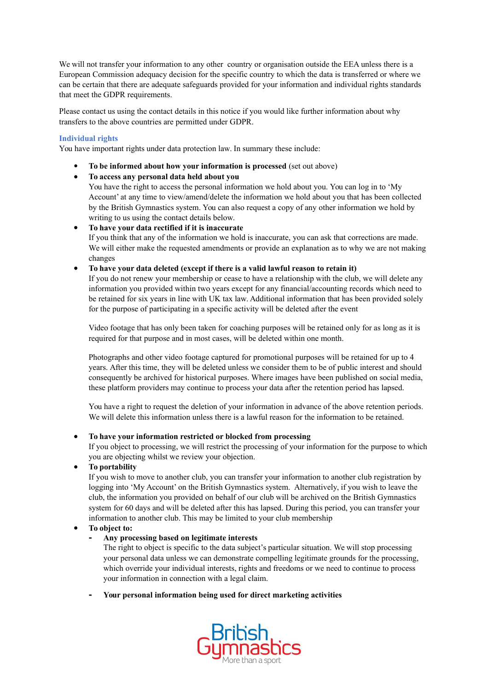We will not transfer your information to any other country or organisation outside the EEA unless there is a European Commission adequacy decision for the specific country to which the data is transferred or where we can be certain that there are adequate safeguards provided for your information and individual rights standards that meet the GDPR requirements.

Please contact us using the contact details in this notice if you would like further information about why transfers to the above countries are permitted under GDPR.

#### **Individual rights**

You have important rights under data protection law. In summary these include:

**To be informed about how your information is processed** (set out above)

# **To access any personal data held about you**

You have the right to access the personal information we hold about you. You can log in to 'My Account' at any time to view/amend/delete the information we hold about you that has been collected by the British Gymnastics system. You can also request a copy of any other information we hold by writing to us using the contact details below.

#### **To have your data rectified if it is inaccurate**

If you think that any of the information we hold is inaccurate, you can ask that corrections are made. We will either make the requested amendments or provide an explanation as to why we are not making changes

#### **To have your data deleted (except if there is a valid lawful reason to retain it)**

If you do not renew your membership or cease to have a relationship with the club, we will delete any information you provided within two years except for any financial/accounting records which need to be retained for six years in line with UK tax law. Additional information that has been provided solely for the purpose of participating in a specific activity will be deleted after the event

Video footage that has only been taken for coaching purposes will be retained only for as long as it is required for that purpose and in most cases, will be deleted within one month.

Photographs and other video footage captured for promotional purposes will be retained for up to 4 years. After this time, they will be deleted unless we consider them to be of public interest and should consequently be archived for historical purposes. Where images have been published on social media, these platform providers may continue to process your data after the retention period has lapsed.

You have a right to request the deletion of your information in advance of the above retention periods. We will delete this information unless there is a lawful reason for the information to be retained.

# **To have your information restricted or blocked from processing**

If you object to processing, we will restrict the processing of your information for the purpose to which you are objecting whilst we review your objection.

# **To portability**

If you wish to move to another club, you can transfer your information to another club registration by logging into 'My Account' on the British Gymnastics system. Alternatively, if you wish to leave the club, the information you provided on behalf of our club will be archived on the British Gymnastics system for 60 days and will be deleted after this has lapsed. During this period, you can transfer your information to another club. This may be limited to your club membership

# **To object to:**

# **- Any processing based on legitimate interests**

The right to object is specific to the data subject's particular situation. We will stop processing your personal data unless we can demonstrate compelling legitimate grounds for the processing, which override your individual interests, rights and freedoms or we need to continue to process your information in connection with a legal claim.

**- Your personal information being used for direct marketing activities**